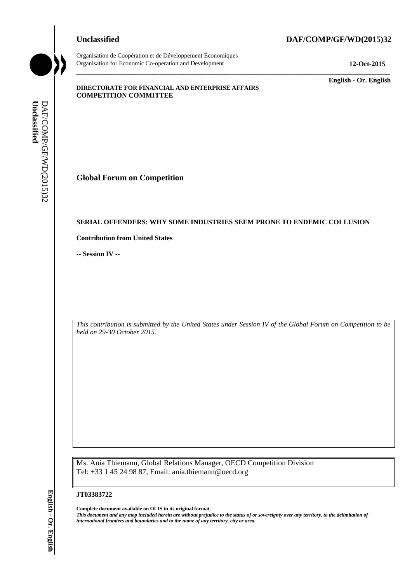# Organisation de Coopération et de Développement Économiques Organisation for Economic Co-operation and Development **12-Oct-2015**

**Unclassified DAF/COMP/GF/WD(2015)32**

\_\_\_\_\_\_\_\_\_\_\_\_\_ **English - Or. English**

## **DIRECTORATE FOR FINANCIAL AND ENTERPRISE AFFAIRS COMPETITION COMMITTEE**

**Global Forum on Competition**

# **SERIAL OFFENDERS: WHY SOME INDUSTRIES SEEM PRONE TO ENDEMIC COLLUSION**

\_\_\_\_\_\_\_\_\_\_\_\_\_\_\_\_\_\_\_\_\_\_\_\_\_\_\_\_\_\_\_\_\_\_\_\_\_\_\_\_\_\_\_\_\_\_\_\_\_\_\_\_\_\_\_\_\_\_\_\_\_\_\_\_\_\_\_\_\_\_\_\_\_\_\_\_\_\_\_\_\_\_\_\_\_\_\_\_\_\_\_

**Contribution from United States**

**-- Session IV --**

*This contribution is submitted by the United States under Session IV of the Global Forum on Competition to be held on 29-30 October 2015.*

Ms. Ania Thiemann, Global Relations Manager, OECD Competition Division Tel: +33 1 45 24 98 87, Email: ania.thiemann@oecd.org

### **JT03383722**

**Complete document available on OLIS in its original format** *This document and any map included herein are without prejudice to the status of or sovereignty over any territory, to the delimitation of*  **i international Fortune on Competition**<br> **EXERCAL OFFENDERS: WHY SOME INDUSTRIES SEEM**<br> **Contribution from United States**<br>
-- **Session IV** --<br>
This contribution is submitted by the United States under Session<br> **First co**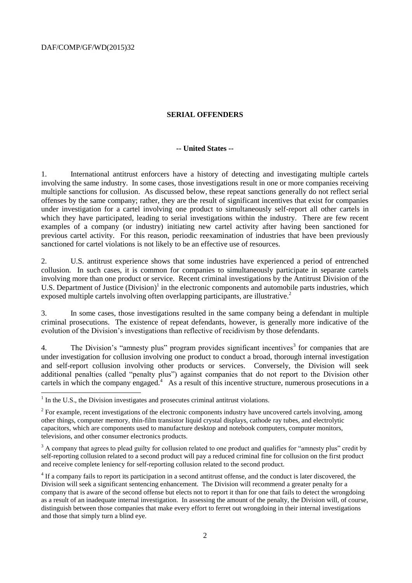DAF/COMP/GF/WD(2015)32

## **SERIAL OFFENDERS**

# **-- United States --**

1. International antitrust enforcers have a history of detecting and investigating multiple cartels involving the same industry. In some cases, those investigations result in one or more companies receiving multiple sanctions for collusion. As discussed below, these repeat sanctions generally do not reflect serial offenses by the same company; rather, they are the result of significant incentives that exist for companies under investigation for a cartel involving one product to simultaneously self-report all other cartels in which they have participated, leading to serial investigations within the industry. There are few recent examples of a company (or industry) initiating new cartel activity after having been sanctioned for previous cartel activity. For this reason, periodic reexamination of industries that have been previously sanctioned for cartel violations is not likely to be an effective use of resources.

2. U.S. antitrust experience shows that some industries have experienced a period of entrenched collusion. In such cases, it is common for companies to simultaneously participate in separate cartels involving more than one product or service. Recent criminal investigations by the Antitrust Division of the U.S. Department of Justice (Division)<sup>1</sup> in the electronic components and automobile parts industries, which exposed multiple cartels involving often overlapping participants, are illustrative.<sup>2</sup>

3. In some cases, those investigations resulted in the same company being a defendant in multiple criminal prosecutions. The existence of repeat defendants, however, is generally more indicative of the evolution of the Division's investigations than reflective of recidivism by those defendants.

4. The Division's "amnesty plus" program provides significant incentives<sup>3</sup> for companies that are under investigation for collusion involving one product to conduct a broad, thorough internal investigation and self-report collusion involving other products or services. Conversely, the Division will seek additional penalties (called "penalty plus") against companies that do not report to the Division other cartels in which the company engaged.<sup>4</sup> As a result of this incentive structure, numerous prosecutions in a

<sup>&</sup>lt;sup>1</sup> In the U.S., the Division investigates and prosecutes criminal antitrust violations.

 $2^2$  For example, recent investigations of the electronic components industry have uncovered cartels involving, among other things, computer memory, thin-film transistor liquid crystal displays, cathode ray tubes, and electrolytic capacitors, which are components used to manufacture desktop and notebook computers, computer monitors, televisions, and other consumer electronics products.

<sup>&</sup>lt;sup>3</sup> A company that agrees to plead guilty for collusion related to one product and qualifies for "amnesty plus" credit by self-reporting collusion related to a second product will pay a reduced criminal fine for collusion on the first product and receive complete leniency for self-reporting collusion related to the second product.

<sup>&</sup>lt;sup>4</sup> If a company fails to report its participation in a second antitrust offense, and the conduct is later discovered, the Division will seek a significant sentencing enhancement. The Division will recommend a greater penalty for a company that is aware of the second offense but elects not to report it than for one that fails to detect the wrongdoing as a result of an inadequate internal investigation. In assessing the amount of the penalty, the Division will, of course, distinguish between those companies that make every effort to ferret out wrongdoing in their internal investigations and those that simply turn a blind eye.